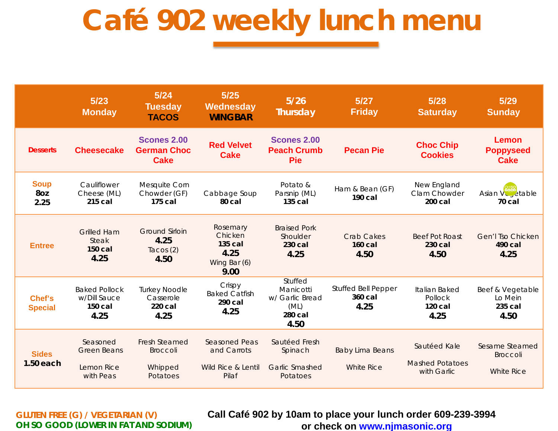## **Café 902 weekly lunch menu**

|                             | 5/23<br><b>Monday</b>                                     | 5/24<br><b>Tuesday</b><br><b>TACOS</b>                         | $5/25$<br>Wednesday<br><b>WINGBAR</b>                              | $5/26$<br>Thursday                                                 | 5/27<br><b>Friday</b>                         | 5/28<br><b>Saturday</b>                               | 5/29<br><b>Sunday</b>                                  |
|-----------------------------|-----------------------------------------------------------|----------------------------------------------------------------|--------------------------------------------------------------------|--------------------------------------------------------------------|-----------------------------------------------|-------------------------------------------------------|--------------------------------------------------------|
| <b>Desserts</b>             | <b>Cheesecake</b>                                         | <b>Scones 2.00</b><br><b>German Choc</b><br><b>Cake</b>        | <b>Red Velvet</b><br><b>Cake</b>                                   | <b>Scones 2.00</b><br><b>Peach Crumb</b><br><b>Pie</b>             | <b>Pecan Pie</b>                              | <b>Choc Chip</b><br><b>Cookies</b>                    | <b>Lemon</b><br><b>Poppyseed</b><br><b>Cake</b>        |
| <b>Soup</b><br>8oz<br>2.25  | Cauliflower<br>Cheese (ML)<br>215 cal                     | Mesquite Corn<br>Chowder (GF)<br>175 cal                       | Cabbage Soup<br>80 cal                                             | Potato &<br>Parsnip (ML)<br>135 cal                                | Ham & Bean (GF)<br>190 cal                    | New England<br>Clam Chowder<br>200 cal                | Asian VC <sub>, etable</sub><br>70 cal                 |
| <b>Entree</b>               | <b>Grilled Ham</b><br><b>Steak</b><br>$150$ cal<br>4.25   | <b>Ground Sirloin</b><br>4.25<br>Tacos $(2)$<br>4.50           | Rosemary<br>Chicken<br>135 cal<br>4.25<br>Wing Bar (6)<br>9.00     | <b>Braised Pork</b><br>Shoulder<br>230 cal<br>4.25                 | <b>Crab Cakes</b><br><b>160 cal</b><br>4.50   | <b>Beef Pot Roast</b><br>230 cal<br>4.50              | <b>Gen'l Tso Chicken</b><br>490 cal<br>4.25            |
| Chef's<br><b>Special</b>    | <b>Baked Pollock</b><br>w/Dill Sauce<br>150 cal<br>4.25   | <b>Turkey Noodle</b><br>Casserole<br>220 cal<br>4.25           | Crispy<br><b>Baked Catfish</b><br>290 cal<br>4.25                  | Stuffed<br>Manicotti<br>w/ Garlic Bread<br>(ML)<br>280 cal<br>4.50 | <b>Stuffed Bell Pepper</b><br>360 cal<br>4.25 | Italian Baked<br>Pollock<br>120 cal<br>4.25           | Beef & Vegetable<br>Lo Mein<br>235 cal<br>4.50         |
| <b>Sides</b><br>$1.50$ each | Seasoned<br><b>Green Beans</b><br>Lemon Rice<br>with Peas | <b>Fresh Steamed</b><br><b>Broccoli</b><br>Whipped<br>Potatoes | <b>Seasoned Peas</b><br>and Carrots<br>Wild Rice & Lentil<br>Pilaf | Sautéed Fresh<br>Spinach<br><b>Garlic Smashed</b><br>Potatoes      | <b>Baby Lima Beans</b><br><b>White Rice</b>   | Sautéed Kale<br><b>Mashed Potatoes</b><br>with Garlic | Sesame Steamed<br><b>Broccoli</b><br><b>White Rice</b> |

**GLUTEN FREE (G) / VEGETARIAN (V) OH SO GOOD (LOWER IN FAT AND SODIUM)** **Call Café 902 by 10am to place your lunch order 609-239-3994 or check on [www.njmasonic.org](http://www.njmasonic.org/)**